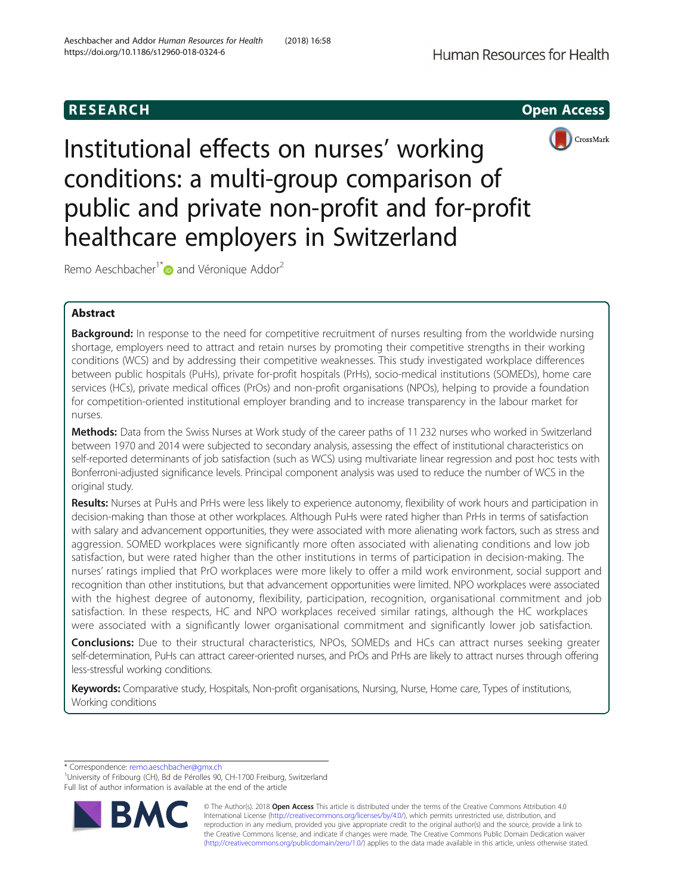



Institutional effects on nurses' working conditions: a multi-group comparison of public and private non-profit and for-profit healthcare employers in Switzerland

Remo Aeschbacher<sup>1[\\*](http://orcid.org/0000-0002-0864-6020)</sup> and Véronique Addor<sup>2</sup>

# Abstract

Background: In response to the need for competitive recruitment of nurses resulting from the worldwide nursing shortage, employers need to attract and retain nurses by promoting their competitive strengths in their working conditions (WCS) and by addressing their competitive weaknesses. This study investigated workplace differences between public hospitals (PuHs), private for-profit hospitals (PrHs), socio-medical institutions (SOMEDs), home care services (HCs), private medical offices (PrOs) and non-profit organisations (NPOs), helping to provide a foundation for competition-oriented institutional employer branding and to increase transparency in the labour market for nurses.

Methods: Data from the Swiss Nurses at Work study of the career paths of 11 232 nurses who worked in Switzerland between 1970 and 2014 were subjected to secondary analysis, assessing the effect of institutional characteristics on self-reported determinants of job satisfaction (such as WCS) using multivariate linear regression and post hoc tests with Bonferroni-adjusted significance levels. Principal component analysis was used to reduce the number of WCS in the original study.

**Results:** Nurses at PuHs and PrHs were less likely to experience autonomy, flexibility of work hours and participation in decision-making than those at other workplaces. Although PuHs were rated higher than PrHs in terms of satisfaction with salary and advancement opportunities, they were associated with more alienating work factors, such as stress and aggression. SOMED workplaces were significantly more often associated with alienating conditions and low job satisfaction, but were rated higher than the other institutions in terms of participation in decision-making. The nurses' ratings implied that PrO workplaces were more likely to offer a mild work environment, social support and recognition than other institutions, but that advancement opportunities were limited. NPO workplaces were associated with the highest degree of autonomy, flexibility, participation, recognition, organisational commitment and job satisfaction. In these respects, HC and NPO workplaces received similar ratings, although the HC workplaces were associated with a significantly lower organisational commitment and significantly lower job satisfaction.

**Conclusions:** Due to their structural characteristics, NPOs, SOMEDs and HCs can attract nurses seeking greater self-determination, PuHs can attract career-oriented nurses, and PrOs and PrHs are likely to attract nurses through offering less-stressful working conditions.

Keywords: Comparative study, Hospitals, Non-profit organisations, Nursing, Nurse, Home care, Types of institutions, Working conditions

\* Correspondence: [remo.aeschbacher@gmx.ch](mailto:remo.aeschbacher@gmx.ch) <sup>1</sup>

<sup>1</sup>University of Fribourg (CH), Bd de Pérolles 90, CH-1700 Freiburg, Switzerland Full list of author information is available at the end of the article



© The Author(s). 2018 Open Access This article is distributed under the terms of the Creative Commons Attribution 4.0 International License [\(http://creativecommons.org/licenses/by/4.0/](http://creativecommons.org/licenses/by/4.0/)), which permits unrestricted use, distribution, and reproduction in any medium, provided you give appropriate credit to the original author(s) and the source, provide a link to the Creative Commons license, and indicate if changes were made. The Creative Commons Public Domain Dedication waiver [\(http://creativecommons.org/publicdomain/zero/1.0/](http://creativecommons.org/publicdomain/zero/1.0/)) applies to the data made available in this article, unless otherwise stated.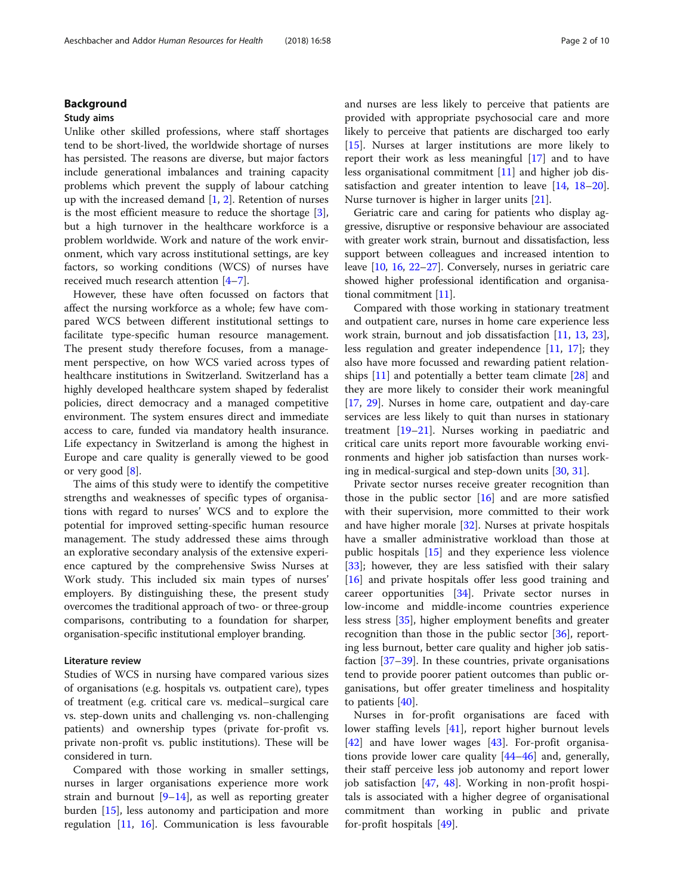## Background

## Study aims

Unlike other skilled professions, where staff shortages tend to be short-lived, the worldwide shortage of nurses has persisted. The reasons are diverse, but major factors include generational imbalances and training capacity problems which prevent the supply of labour catching up with the increased demand  $[1, 2]$  $[1, 2]$  $[1, 2]$  $[1, 2]$ . Retention of nurses is the most efficient measure to reduce the shortage [\[3](#page-8-0)], but a high turnover in the healthcare workforce is a problem worldwide. Work and nature of the work environment, which vary across institutional settings, are key factors, so working conditions (WCS) of nurses have received much research attention [\[4](#page-8-0)–[7](#page-8-0)].

However, these have often focussed on factors that affect the nursing workforce as a whole; few have compared WCS between different institutional settings to facilitate type-specific human resource management. The present study therefore focuses, from a management perspective, on how WCS varied across types of healthcare institutions in Switzerland. Switzerland has a highly developed healthcare system shaped by federalist policies, direct democracy and a managed competitive environment. The system ensures direct and immediate access to care, funded via mandatory health insurance. Life expectancy in Switzerland is among the highest in Europe and care quality is generally viewed to be good or very good [[8\]](#page-8-0).

The aims of this study were to identify the competitive strengths and weaknesses of specific types of organisations with regard to nurses' WCS and to explore the potential for improved setting-specific human resource management. The study addressed these aims through an explorative secondary analysis of the extensive experience captured by the comprehensive Swiss Nurses at Work study. This included six main types of nurses' employers. By distinguishing these, the present study overcomes the traditional approach of two- or three-group comparisons, contributing to a foundation for sharper, organisation-specific institutional employer branding.

#### Literature review

Studies of WCS in nursing have compared various sizes of organisations (e.g. hospitals vs. outpatient care), types of treatment (e.g. critical care vs. medical–surgical care vs. step-down units and challenging vs. non-challenging patients) and ownership types (private for-profit vs. private non-profit vs. public institutions). These will be considered in turn.

Compared with those working in smaller settings, nurses in larger organisations experience more work strain and burnout  $[9-14]$  $[9-14]$  $[9-14]$  $[9-14]$ , as well as reporting greater burden [[15\]](#page-8-0), less autonomy and participation and more regulation  $[11, 16]$  $[11, 16]$  $[11, 16]$  $[11, 16]$ . Communication is less favourable and nurses are less likely to perceive that patients are provided with appropriate psychosocial care and more likely to perceive that patients are discharged too early [[15\]](#page-8-0). Nurses at larger institutions are more likely to report their work as less meaningful [[17\]](#page-8-0) and to have less organisational commitment [[11\]](#page-8-0) and higher job dis-satisfaction and greater intention to leave [\[14,](#page-8-0) [18](#page-8-0)–[20](#page-8-0)]. Nurse turnover is higher in larger units [\[21](#page-8-0)].

Geriatric care and caring for patients who display aggressive, disruptive or responsive behaviour are associated with greater work strain, burnout and dissatisfaction, less support between colleagues and increased intention to leave [\[10,](#page-8-0) [16,](#page-8-0) [22](#page-8-0)–[27\]](#page-8-0). Conversely, nurses in geriatric care showed higher professional identification and organisational commitment [[11](#page-8-0)].

Compared with those working in stationary treatment and outpatient care, nurses in home care experience less work strain, burnout and job dissatisfaction [[11](#page-8-0), [13,](#page-8-0) [23](#page-8-0)], less regulation and greater independence [\[11](#page-8-0), [17\]](#page-8-0); they also have more focussed and rewarding patient relationships  $[11]$  $[11]$  and potentially a better team climate  $[28]$  $[28]$  and they are more likely to consider their work meaningful [[17,](#page-8-0) [29\]](#page-8-0). Nurses in home care, outpatient and day-care services are less likely to quit than nurses in stationary treatment [[19](#page-8-0)–[21](#page-8-0)]. Nurses working in paediatric and critical care units report more favourable working environments and higher job satisfaction than nurses working in medical-surgical and step-down units [[30,](#page-8-0) [31\]](#page-8-0).

Private sector nurses receive greater recognition than those in the public sector  $[16]$  $[16]$  $[16]$  and are more satisfied with their supervision, more committed to their work and have higher morale [[32\]](#page-8-0). Nurses at private hospitals have a smaller administrative workload than those at public hospitals [\[15](#page-8-0)] and they experience less violence [[33\]](#page-8-0); however, they are less satisfied with their salary [[16\]](#page-8-0) and private hospitals offer less good training and career opportunities [[34\]](#page-8-0). Private sector nurses in low-income and middle-income countries experience less stress [[35](#page-9-0)], higher employment benefits and greater recognition than those in the public sector [\[36\]](#page-9-0), reporting less burnout, better care quality and higher job satisfaction [\[37](#page-9-0)–[39\]](#page-9-0). In these countries, private organisations tend to provide poorer patient outcomes than public organisations, but offer greater timeliness and hospitality to patients [\[40](#page-9-0)].

Nurses in for-profit organisations are faced with lower staffing levels [\[41](#page-9-0)], report higher burnout levels [[42\]](#page-9-0) and have lower wages [[43\]](#page-9-0). For-profit organisations provide lower care quality [[44](#page-9-0)–[46](#page-9-0)] and, generally, their staff perceive less job autonomy and report lower job satisfaction [[47,](#page-9-0) [48](#page-9-0)]. Working in non-profit hospitals is associated with a higher degree of organisational commitment than working in public and private for-profit hospitals [\[49](#page-9-0)].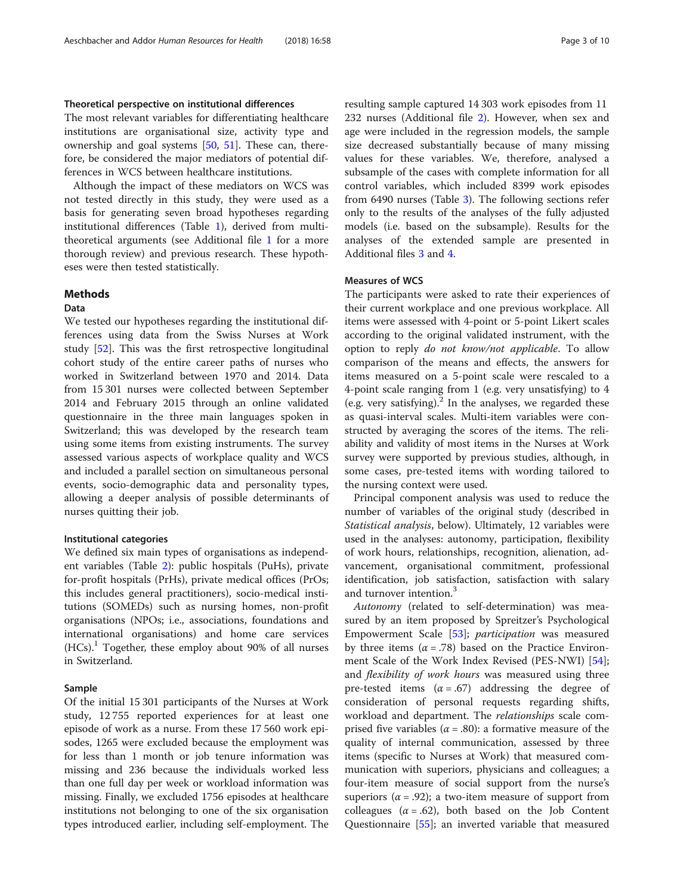#### Theoretical perspective on institutional differences

The most relevant variables for differentiating healthcare institutions are organisational size, activity type and ownership and goal systems  $[50, 51]$  $[50, 51]$  $[50, 51]$  $[50, 51]$ . These can, therefore, be considered the major mediators of potential differences in WCS between healthcare institutions.

Although the impact of these mediators on WCS was not tested directly in this study, they were used as a basis for generating seven broad hypotheses regarding institutional differences (Table [1](#page-3-0)), derived from multitheoretical arguments (see Additional file [1](#page-7-0) for a more thorough review) and previous research. These hypotheses were then tested statistically.

## **Mathods**

## Data

We tested our hypotheses regarding the institutional differences using data from the Swiss Nurses at Work study [[52\]](#page-9-0). This was the first retrospective longitudinal cohort study of the entire career paths of nurses who worked in Switzerland between 1970 and 2014. Data from 15 301 nurses were collected between September 2014 and February 2015 through an online validated questionnaire in the three main languages spoken in Switzerland; this was developed by the research team using some items from existing instruments. The survey assessed various aspects of workplace quality and WCS and included a parallel section on simultaneous personal events, socio-demographic data and personality types, allowing a deeper analysis of possible determinants of nurses quitting their job.

#### Institutional categories

We defined six main types of organisations as independent variables (Table [2](#page-4-0)): public hospitals (PuHs), private for-profit hospitals (PrHs), private medical offices (PrOs; this includes general practitioners), socio-medical institutions (SOMEDs) such as nursing homes, non-profit organisations (NPOs; i.e., associations, foundations and international organisations) and home care services  $(HCs).$ <sup>1</sup> Together, these employ about 90% of all nurses in Switzerland.

#### Sample

Of the initial 15 301 participants of the Nurses at Work study, 12 755 reported experiences for at least one episode of work as a nurse. From these 17 560 work episodes, 1265 were excluded because the employment was for less than 1 month or job tenure information was missing and 236 because the individuals worked less than one full day per week or workload information was missing. Finally, we excluded 1756 episodes at healthcare institutions not belonging to one of the six organisation types introduced earlier, including self-employment. The resulting sample captured 14 303 work episodes from 11 232 nurses (Additional file [2](#page-7-0)). However, when sex and age were included in the regression models, the sample size decreased substantially because of many missing values for these variables. We, therefore, analysed a subsample of the cases with complete information for all control variables, which included 8399 work episodes from 6490 nurses (Table [3](#page-4-0)). The following sections refer only to the results of the analyses of the fully adjusted models (i.e. based on the subsample). Results for the analyses of the extended sample are presented in Additional files [3](#page-7-0) and [4.](#page-7-0)

## Measures of WCS

The participants were asked to rate their experiences of their current workplace and one previous workplace. All items were assessed with 4-point or 5-point Likert scales according to the original validated instrument, with the option to reply do not know/not applicable. To allow comparison of the means and effects, the answers for items measured on a 5-point scale were rescaled to a 4-point scale ranging from 1 (e.g. very unsatisfying) to 4 (e.g. very satisfying).<sup>2</sup> In the analyses, we regarded these as quasi-interval scales. Multi-item variables were constructed by averaging the scores of the items. The reliability and validity of most items in the Nurses at Work survey were supported by previous studies, although, in some cases, pre-tested items with wording tailored to the nursing context were used.

Principal component analysis was used to reduce the number of variables of the original study (described in Statistical analysis, below). Ultimately, 12 variables were used in the analyses: autonomy, participation, flexibility of work hours, relationships, recognition, alienation, advancement, organisational commitment, professional identification, job satisfaction, satisfaction with salary and turnover intention.<sup>3</sup>

Autonomy (related to self-determination) was measured by an item proposed by Spreitzer's Psychological Empowerment Scale [[53\]](#page-9-0); participation was measured by three items ( $\alpha$  = .78) based on the Practice Environment Scale of the Work Index Revised (PES-NWI) [\[54](#page-9-0)]; and *flexibility of work hours* was measured using three pre-tested items  $(\alpha = .67)$  addressing the degree of consideration of personal requests regarding shifts, workload and department. The relationships scale comprised five variables ( $\alpha$  = .80): a formative measure of the quality of internal communication, assessed by three items (specific to Nurses at Work) that measured communication with superiors, physicians and colleagues; a four-item measure of social support from the nurse's superiors ( $\alpha$  = .92); a two-item measure of support from colleagues ( $\alpha$  = .62), both based on the Job Content Questionnaire [\[55](#page-9-0)]; an inverted variable that measured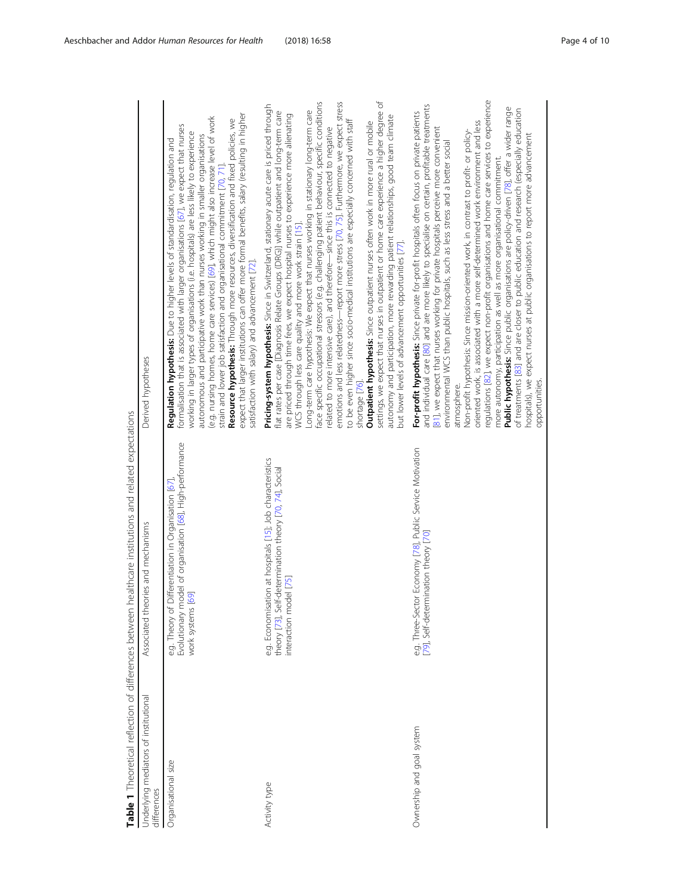<span id="page-3-0"></span>

| Table 1 Theoretical reflection of differences between | healthcare institutions and related expectations                                                                                               |                                                                                                                                                                                                                                                                                                                                                                                                                                                                                                                                                                                                                                                                                                                                                                                                                                                                                                                                                                                                                                                                                                                                                                        |
|-------------------------------------------------------|------------------------------------------------------------------------------------------------------------------------------------------------|------------------------------------------------------------------------------------------------------------------------------------------------------------------------------------------------------------------------------------------------------------------------------------------------------------------------------------------------------------------------------------------------------------------------------------------------------------------------------------------------------------------------------------------------------------------------------------------------------------------------------------------------------------------------------------------------------------------------------------------------------------------------------------------------------------------------------------------------------------------------------------------------------------------------------------------------------------------------------------------------------------------------------------------------------------------------------------------------------------------------------------------------------------------------|
| Underlying mediators of institutional<br>differences  | Associated theories and mechanisms                                                                                                             | Derived hypotheses                                                                                                                                                                                                                                                                                                                                                                                                                                                                                                                                                                                                                                                                                                                                                                                                                                                                                                                                                                                                                                                                                                                                                     |
| Organisational size                                   | Evolutionary model of organisation [68], High-performance<br>Differentiation in Organisation [67],<br>[69]<br>work systems<br>e.g. Theory of   | expect that larger institutions can offer more formal benefits, salary (resulting in higher<br>(e.g. nursing homes, home care services) [69], which might also increase level of work<br>Resource hypothesis: Through more resources, diversification and fixed policies, we<br>formalisation that is associated with larger organisations [67], we expect that nurses<br>working in larger types of organisations (i.e. hospitals) are less likely to experience<br>autonomous and participative work than nurses working in smaller organisations<br>Regulation hypothesis: Due to higher levels of standardisation, regulation and<br>strain and lower job satisfaction and organisational commitment [70, 71<br>satisfaction with salary) and advancement [72].                                                                                                                                                                                                                                                                                                                                                                                                    |
| Activity type                                         | e.g. Economisation at hospitals [15]; Job characteristics<br>theory [73], Self-determination theory [70, 74], Social<br>interaction model [75] | settings, we expect that nurses in outpatient or home care experience a higher degree of<br>emotions and less relatedness-report more stress [70, 75]. Furthermore, we expect stress<br>face specific occupational stressors (e.g. challenging patient behaviour, specific conditions<br>Pricing-system hypothesis: Since in Switzerland, stationary acute care is priced through<br>Long-term care hypothesis: We expect that nurses working in stationary long-term care<br>flat rates per case [Diagnosis Relate Groups (DRG)] while outpatient and long-term care<br>are priced through time fees, we expect hospital nurses to experience more alienating<br>autonomy and participation, more rewarding patient relationships, good team climate<br>to be even higher since socio-medical institutions are especially concerned with staff<br><b>Outpatient hypothesis:</b> Since outpatient nurses often work in more rural or mobile<br>related to more intensive care), and therefore—since this is connected to negative<br>WCS through less care quality and more work strain [15].<br>but lower levels of advancement opportunities [77].<br>shortage [76]. |
| Ownership and goal system                             | e.g. Three-Sector Economy [78], Public Service Motivation<br>[79], Self-determination theory [70]                                              | regulations [82], we expect non-profit organisations and home care services to experience<br>and individual care [80] and are more likely to specialise on certain, profitable treatments<br>Public hypothesis: Since public organisations are policy-driven [78], offer a wider range<br>of treatments [83] and are closer to public education and research (especially education<br>For-profit hypothesis: Since private for-profit hospitals often focus on private patients<br>oriented work, is associated with a more self-determined work environment and less<br>[81], we expect that nurses working for private hospitals perceive more convenient<br>Non-profit hypothesis: Since mission-oriented work, in contrast to profit- or policy-<br>hospitals), we expect nurses at public organisations to report more advancement<br>environmental WCS than public hospitals, such as less stress and a better social<br>more autonomy, participation as well as more organisational commitment.<br>opportunities.<br>atmosphere.                                                                                                                                |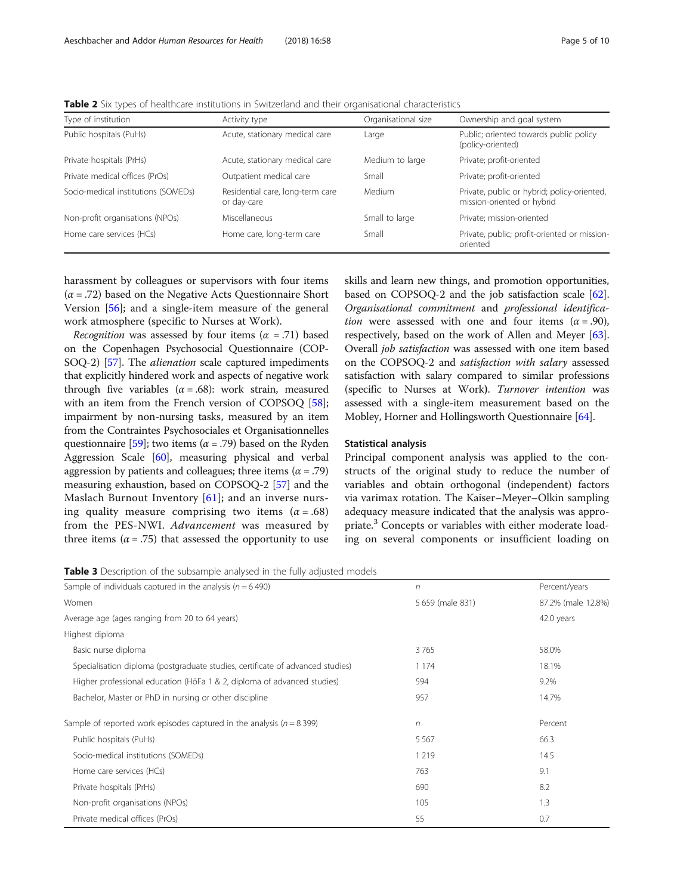<span id="page-4-0"></span>Table 2 Six types of healthcare institutions in Switzerland and their organisational characteristics

| Type of institution<br>Activity type |                                                 | Organisational size                                                  | Ownership and goal system                                                 |  |
|--------------------------------------|-------------------------------------------------|----------------------------------------------------------------------|---------------------------------------------------------------------------|--|
| Public hospitals (PuHs)              | Acute, stationary medical care                  | Public; oriented towards public policy<br>Large<br>(policy-oriented) |                                                                           |  |
| Private hospitals (PrHs)             | Acute, stationary medical care                  | Medium to large                                                      | Private; profit-oriented                                                  |  |
| Private medical offices (PrOs)       | Outpatient medical care                         | Small                                                                | Private; profit-oriented                                                  |  |
| Socio-medical institutions (SOMEDs)  | Residential care, long-term care<br>or day-care | Medium                                                               | Private, public or hybrid; policy-oriented,<br>mission-oriented or hybrid |  |
| Non-profit organisations (NPOs)      | Miscellaneous                                   | Small to large                                                       | Private; mission-oriented                                                 |  |
| Home care services (HCs)             | Home care, long-term care                       | Small                                                                | Private, public; profit-oriented or mission-<br>oriented                  |  |

harassment by colleagues or supervisors with four items  $(\alpha = .72)$  based on the Negative Acts Questionnaire Short Version [[56\]](#page-9-0); and a single-item measure of the general work atmosphere (specific to Nurses at Work).

*Recognition* was assessed by four items ( $\alpha$  = .71) based on the Copenhagen Psychosocial Questionnaire (COP-SOQ-2) [[57](#page-9-0)]. The *alienation* scale captured impediments that explicitly hindered work and aspects of negative work through five variables ( $\alpha$  = .68): work strain, measured with an item from the French version of COPSOQ [[58](#page-9-0)]; impairment by non-nursing tasks, measured by an item from the Contraintes Psychosociales et Organisationnelles questionnaire [[59](#page-9-0)]; two items ( $\alpha$  = .79) based on the Ryden Aggression Scale [\[60\]](#page-9-0), measuring physical and verbal aggression by patients and colleagues; three items ( $\alpha = .79$ ) measuring exhaustion, based on COPSOQ-2 [[57\]](#page-9-0) and the Maslach Burnout Inventory [\[61](#page-9-0)]; and an inverse nursing quality measure comprising two items  $(\alpha = .68)$ from the PES-NWI. Advancement was measured by three items ( $\alpha$  = .75) that assessed the opportunity to use skills and learn new things, and promotion opportunities, based on COPSOQ-2 and the job satisfaction scale [[62](#page-9-0)]. Organisational commitment and professional identifica*tion* were assessed with one and four items  $(\alpha = .90)$ , respectively, based on the work of Allen and Meyer [[63](#page-9-0)]. Overall job satisfaction was assessed with one item based on the COPSOQ-2 and satisfaction with salary assessed satisfaction with salary compared to similar professions (specific to Nurses at Work). Turnover intention was assessed with a single-item measurement based on the Mobley, Horner and Hollingsworth Questionnaire [\[64\]](#page-9-0).

#### Statistical analysis

Principal component analysis was applied to the constructs of the original study to reduce the number of variables and obtain orthogonal (independent) factors via varimax rotation. The Kaiser–Meyer–Olkin sampling adequacy measure indicated that the analysis was appropriate.<sup>3</sup> Concepts or variables with either moderate loading on several components or insufficient loading on

**Table 3** Description of the subsample analysed in the fully adjusted models

| Sample of individuals captured in the analysis ( $n = 6490$ )                  | n                | Percent/years      |
|--------------------------------------------------------------------------------|------------------|--------------------|
| Women                                                                          | 5 659 (male 831) | 87.2% (male 12.8%) |
| Average age (ages ranging from 20 to 64 years)                                 |                  | 42.0 years         |
| Highest diploma                                                                |                  |                    |
| Basic nurse diploma                                                            | 3765             | 58.0%              |
| Specialisation diploma (postgraduate studies, certificate of advanced studies) | 1 1 7 4          | 18.1%              |
| Higher professional education (HöFa 1 & 2, diploma of advanced studies)        | 594              | 9.2%               |
| Bachelor, Master or PhD in nursing or other discipline                         | 957              | 14.7%              |
| Sample of reported work episodes captured in the analysis ( $n = 8399$ )       | n                | Percent            |
| Public hospitals (PuHs)                                                        | 5 5 6 7          | 66.3               |
| Socio-medical institutions (SOMEDs)                                            | 1219             | 14.5               |
| Home care services (HCs)                                                       | 763              | 9.1                |
| Private hospitals (PrHs)                                                       | 690              | 8.2                |
| Non-profit organisations (NPOs)                                                | 105              | 1.3                |
| Private medical offices (PrOs)                                                 | 55               | 0.7                |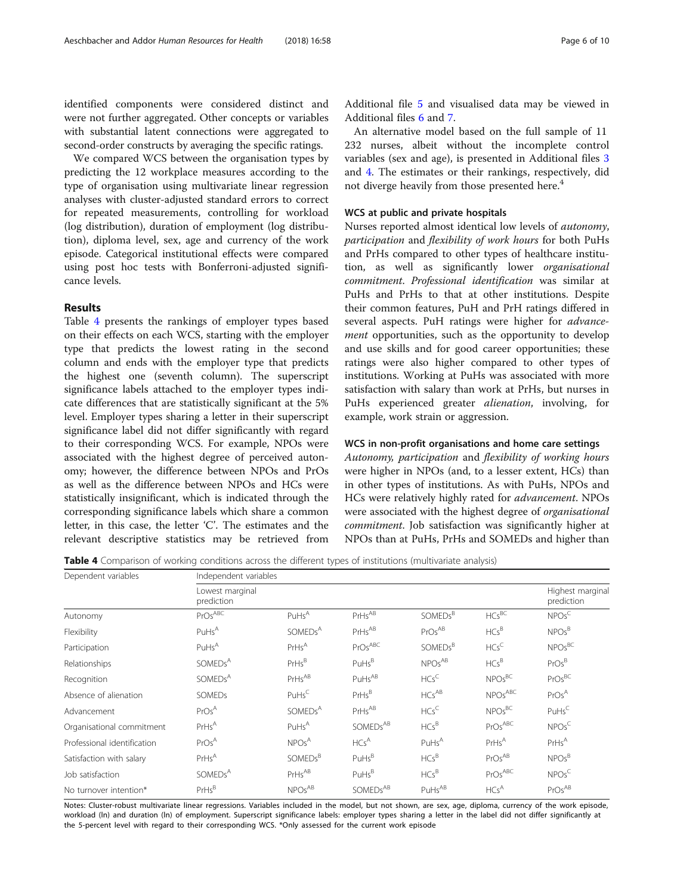identified components were considered distinct and were not further aggregated. Other concepts or variables with substantial latent connections were aggregated to second-order constructs by averaging the specific ratings.

We compared WCS between the organisation types by predicting the 12 workplace measures according to the type of organisation using multivariate linear regression analyses with cluster-adjusted standard errors to correct for repeated measurements, controlling for workload (log distribution), duration of employment (log distribution), diploma level, sex, age and currency of the work episode. Categorical institutional effects were compared using post hoc tests with Bonferroni-adjusted significance levels.

## Results

Table 4 presents the rankings of employer types based on their effects on each WCS, starting with the employer type that predicts the lowest rating in the second column and ends with the employer type that predicts the highest one (seventh column). The superscript significance labels attached to the employer types indicate differences that are statistically significant at the 5% level. Employer types sharing a letter in their superscript significance label did not differ significantly with regard to their corresponding WCS. For example, NPOs were associated with the highest degree of perceived autonomy; however, the difference between NPOs and PrOs as well as the difference between NPOs and HCs were statistically insignificant, which is indicated through the corresponding significance labels which share a common letter, in this case, the letter 'C'. The estimates and the relevant descriptive statistics may be retrieved from Additional file [5](#page-7-0) and visualised data may be viewed in Additional files [6](#page-7-0) and [7.](#page-7-0)

An alternative model based on the full sample of 11 232 nurses, albeit without the incomplete control variables (sex and age), is presented in Additional files [3](#page-7-0) and [4](#page-7-0). The estimates or their rankings, respectively, did not diverge heavily from those presented here.<sup>4</sup>

### WCS at public and private hospitals

Nurses reported almost identical low levels of autonomy, participation and flexibility of work hours for both PuHs and PrHs compared to other types of healthcare institution, as well as significantly lower organisational commitment. Professional identification was similar at PuHs and PrHs to that at other institutions. Despite their common features, PuH and PrH ratings differed in several aspects. PuH ratings were higher for *advance*ment opportunities, such as the opportunity to develop and use skills and for good career opportunities; these ratings were also higher compared to other types of institutions. Working at PuHs was associated with more satisfaction with salary than work at PrHs, but nurses in PuHs experienced greater alienation, involving, for example, work strain or aggression.

#### WCS in non-profit organisations and home care settings

Autonomy, participation and flexibility of working hours were higher in NPOs (and, to a lesser extent, HCs) than in other types of institutions. As with PuHs, NPOs and HCs were relatively highly rated for advancement. NPOs were associated with the highest degree of organisational commitment. Job satisfaction was significantly higher at NPOs than at PuHs, PrHs and SOMEDs and higher than

Table 4 Comparison of working conditions across the different types of institutions (multivariate analysis)

| Dependent variables         | Independent variables           |                                 |                      |                     |                     |                   |  |
|-----------------------------|---------------------------------|---------------------------------|----------------------|---------------------|---------------------|-------------------|--|
|                             | Lowest marginal<br>prediction   |                                 |                      |                     |                     |                   |  |
| Autonomy                    | PrOsABC                         | PuHs <sup>A</sup>               | PrHsAB               | SOMEDs <sup>B</sup> | $HCs^{BC}$          | NPOS <sup>C</sup> |  |
| Flexibility                 | PuHs <sup>A</sup>               | SOMED <sub>s</sub> <sup>A</sup> | PrHs <sup>AB</sup>   | $Pros^{AB}$         | $HCs^B$             | NPOs <sup>B</sup> |  |
| Participation               | PuHs <sup>A</sup>               | $PrHs^A$                        | $Pros^{ABC}$         | SOMEDs <sup>B</sup> | HCs <sup>C</sup>    | $NPOS^{BC}$       |  |
| Relationships               | SOMED <sub>s</sub> <sup>A</sup> | $PrHs^B$                        | PuHs <sup>B</sup>    | $NPOS^{AB}$         | $HCs^B$             | ProS <sup>B</sup> |  |
| Recognition                 | SOMEDs <sup>A</sup>             | PrHsAB                          | PuHs <sup>AB</sup>   | HCs <sup>C</sup>    | $NPOS^{BC}$         | $Pros^{BC}$       |  |
| Absence of alienation       | SOMEDs                          | PuHs <sup>C</sup>               | $PrHs^B$             | $HCs^{AB}$          | NPOS <sup>ABC</sup> | Pros <sup>A</sup> |  |
| Advancement                 | ProS <sup>A</sup>               | SOMED <sub>s</sub> <sup>A</sup> | PrHsAB               | HCs <sup>C</sup>    | $NPOs^{BC}$         | $Puts^C$          |  |
| Organisational commitment   | $PrHs^A$                        | PuHs <sup>A</sup>               | $SOMEDs^{AB}$        | $HCs^B$             | PrOsABC             | NPOS <sup>C</sup> |  |
| Professional identification | $Pros^A$                        | NPOS <sup>A</sup>               | HCs <sup>A</sup>     | PuHs <sup>A</sup>   | $PrHs^A$            | $PrHs^A$          |  |
| Satisfaction with salary    | PrHs <sup>A</sup>               | SOMEDs <sup>B</sup>             | PuHs <sup>B</sup>    | $HCs^B$             | PrOsAB              | $NPOS^B$          |  |
| Job satisfaction            | SOMEDs <sup>A</sup>             | PrHsAB                          | PuHs <sup>B</sup>    | $HCs^B$             | $Pros^{ABC}$        | NPOS <sup>C</sup> |  |
| No turnover intention*      | $PrHs^B$                        | NPOS <sup>AB</sup>              | SOMEDs <sup>AB</sup> | PuHs <sup>AB</sup>  | HCs <sup>A</sup>    | $Pros^{AB}$       |  |

Notes: Cluster-robust multivariate linear regressions. Variables included in the model, but not shown, are sex, age, diploma, currency of the work episode, workload (ln) and duration (ln) of employment. Superscript significance labels: employer types sharing a letter in the label did not differ significantly at the 5-percent level with regard to their corresponding WCS. \*Only assessed for the current work episode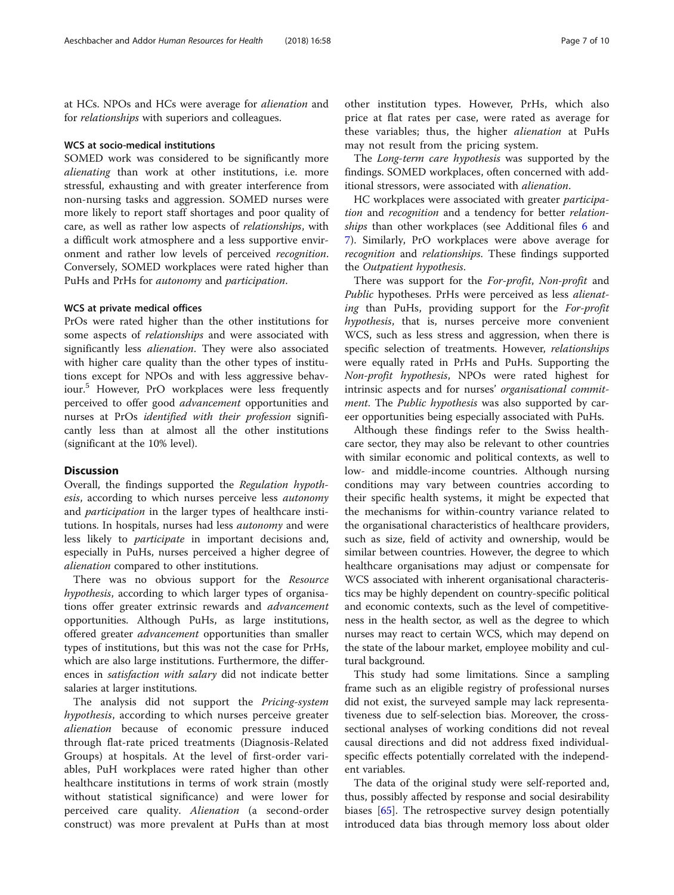at HCs. NPOs and HCs were average for alienation and for relationships with superiors and colleagues.

#### WCS at socio-medical institutions

SOMED work was considered to be significantly more alienating than work at other institutions, i.e. more stressful, exhausting and with greater interference from non-nursing tasks and aggression. SOMED nurses were more likely to report staff shortages and poor quality of care, as well as rather low aspects of relationships, with a difficult work atmosphere and a less supportive environment and rather low levels of perceived recognition. Conversely, SOMED workplaces were rated higher than PuHs and PrHs for autonomy and participation.

## WCS at private medical offices

PrOs were rated higher than the other institutions for some aspects of relationships and were associated with significantly less alienation. They were also associated with higher care quality than the other types of institutions except for NPOs and with less aggressive behaviour.<sup>5</sup> However, PrO workplaces were less frequently perceived to offer good advancement opportunities and nurses at PrOs *identified with their profession* significantly less than at almost all the other institutions (significant at the 10% level).

#### **Discussion**

Overall, the findings supported the Regulation hypothesis, according to which nurses perceive less autonomy and *participation* in the larger types of healthcare institutions. In hospitals, nurses had less *autonomy* and were less likely to participate in important decisions and, especially in PuHs, nurses perceived a higher degree of alienation compared to other institutions.

There was no obvious support for the Resource hypothesis, according to which larger types of organisations offer greater extrinsic rewards and advancement opportunities. Although PuHs, as large institutions, offered greater advancement opportunities than smaller types of institutions, but this was not the case for PrHs, which are also large institutions. Furthermore, the differences in satisfaction with salary did not indicate better salaries at larger institutions.

The analysis did not support the Pricing-system hypothesis, according to which nurses perceive greater alienation because of economic pressure induced through flat-rate priced treatments (Diagnosis-Related Groups) at hospitals. At the level of first-order variables, PuH workplaces were rated higher than other healthcare institutions in terms of work strain (mostly without statistical significance) and were lower for perceived care quality. Alienation (a second-order construct) was more prevalent at PuHs than at most other institution types. However, PrHs, which also price at flat rates per case, were rated as average for these variables; thus, the higher alienation at PuHs may not result from the pricing system.

The Long-term care hypothesis was supported by the findings. SOMED workplaces, often concerned with additional stressors, were associated with alienation.

HC workplaces were associated with greater *participa*tion and recognition and a tendency for better relation-ships than other workplaces (see Additional files [6](#page-7-0) and [7\)](#page-7-0). Similarly, PrO workplaces were above average for recognition and relationships. These findings supported the Outpatient hypothesis.

There was support for the For-profit, Non-profit and Public hypotheses. PrHs were perceived as less *alienat*ing than PuHs, providing support for the For-profit hypothesis, that is, nurses perceive more convenient WCS, such as less stress and aggression, when there is specific selection of treatments. However, *relationships* were equally rated in PrHs and PuHs. Supporting the Non-profit hypothesis, NPOs were rated highest for intrinsic aspects and for nurses' organisational commitment. The Public hypothesis was also supported by career opportunities being especially associated with PuHs.

Although these findings refer to the Swiss healthcare sector, they may also be relevant to other countries with similar economic and political contexts, as well to low- and middle-income countries. Although nursing conditions may vary between countries according to their specific health systems, it might be expected that the mechanisms for within-country variance related to the organisational characteristics of healthcare providers, such as size, field of activity and ownership, would be similar between countries. However, the degree to which healthcare organisations may adjust or compensate for WCS associated with inherent organisational characteristics may be highly dependent on country-specific political and economic contexts, such as the level of competitiveness in the health sector, as well as the degree to which nurses may react to certain WCS, which may depend on the state of the labour market, employee mobility and cultural background.

This study had some limitations. Since a sampling frame such as an eligible registry of professional nurses did not exist, the surveyed sample may lack representativeness due to self-selection bias. Moreover, the crosssectional analyses of working conditions did not reveal causal directions and did not address fixed individualspecific effects potentially correlated with the independent variables.

The data of the original study were self-reported and, thus, possibly affected by response and social desirability biases [[65](#page-9-0)]. The retrospective survey design potentially introduced data bias through memory loss about older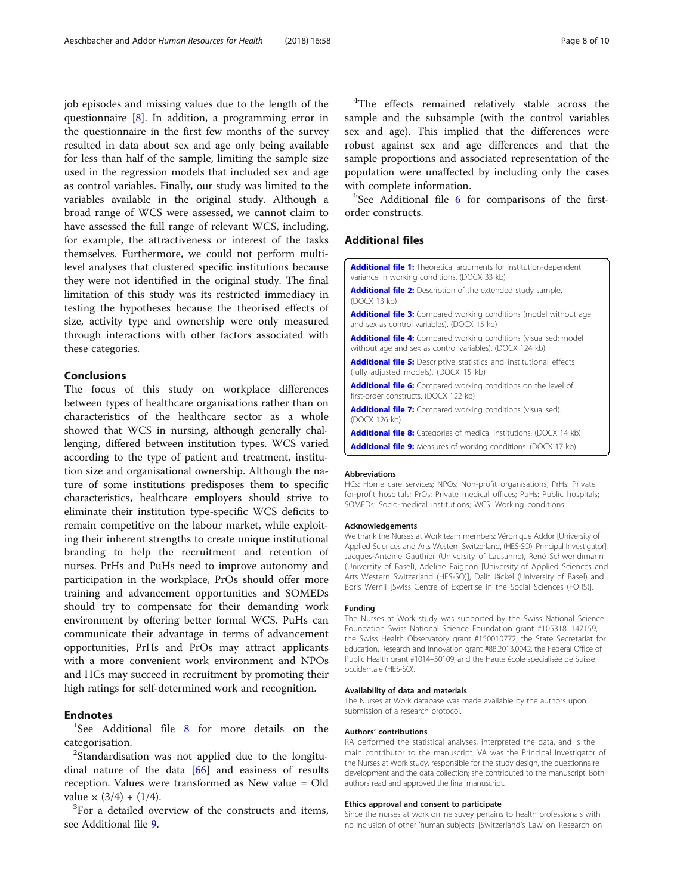<span id="page-7-0"></span>job episodes and missing values due to the length of the questionnaire [[8\]](#page-8-0). In addition, a programming error in the questionnaire in the first few months of the survey resulted in data about sex and age only being available for less than half of the sample, limiting the sample size used in the regression models that included sex and age as control variables. Finally, our study was limited to the variables available in the original study. Although a broad range of WCS were assessed, we cannot claim to have assessed the full range of relevant WCS, including, for example, the attractiveness or interest of the tasks themselves. Furthermore, we could not perform multilevel analyses that clustered specific institutions because they were not identified in the original study. The final limitation of this study was its restricted immediacy in testing the hypotheses because the theorised effects of size, activity type and ownership were only measured through interactions with other factors associated with these categories.

## Conclusions

The focus of this study on workplace differences between types of healthcare organisations rather than on characteristics of the healthcare sector as a whole showed that WCS in nursing, although generally challenging, differed between institution types. WCS varied according to the type of patient and treatment, institution size and organisational ownership. Although the nature of some institutions predisposes them to specific characteristics, healthcare employers should strive to eliminate their institution type-specific WCS deficits to remain competitive on the labour market, while exploiting their inherent strengths to create unique institutional branding to help the recruitment and retention of nurses. PrHs and PuHs need to improve autonomy and participation in the workplace, PrOs should offer more training and advancement opportunities and SOMEDs should try to compensate for their demanding work environment by offering better formal WCS. PuHs can communicate their advantage in terms of advancement opportunities, PrHs and PrOs may attract applicants with a more convenient work environment and NPOs and HCs may succeed in recruitment by promoting their high ratings for self-determined work and recognition.

## **Endnotes**

<sup>1</sup>See Additional file 8 for more details on the categorisation.

<sup>2</sup>Standardisation was not applied due to the longitudinal nature of the data [[66](#page-9-0)] and easiness of results reception. Values were transformed as New value = Old value  $\times$  (3/4) + (1/4).

For a detailed overview of the constructs and items, see Additional file 9.

<sup>4</sup>The effects remained relatively stable across the sample and the subsample (with the control variables sex and age). This implied that the differences were robust against sex and age differences and that the sample proportions and associated representation of the population were unaffected by including only the cases with complete information.

 ${}^{5}$ See Additional file 6 for comparisons of the firstorder constructs.

## Additional files

| <b>Additional file 1:</b> Theoretical arguments for institution-dependent<br>variance in working conditions. (DOCX 33 kb)            |
|--------------------------------------------------------------------------------------------------------------------------------------|
| <b>Additional file 2:</b> Description of the extended study sample.<br>(DOCX 13 kb)                                                  |
| <b>Additional file 3:</b> Compared working conditions (model without age<br>and sex as control variables). (DOCX 15 kb)              |
| <b>Additional file 4:</b> Compared working conditions (visualised; model<br>without age and sex as control variables). (DOCX 124 kb) |
| <b>Additional file 5:</b> Descriptive statistics and institutional effects<br>(fully adjusted models). (DOCX 15 kb)                  |
| <b>Additional file 6:</b> Compared working conditions on the level of<br>first-order constructs. (DOCX 122 kb)                       |
| <b>Additional file 7:</b> Compared working conditions (visualised).<br>(DOCX 126 kb)                                                 |
| <b>Additional file 8:</b> Categories of medical institutions. (DOCX 14 kb)                                                           |
| <b>Additional file 9:</b> Measures of working conditions. (DOCX 17 kb)                                                               |

#### Abbreviations

HCs: Home care services; NPOs: Non-profit organisations; PrHs: Private for-profit hospitals; PrOs: Private medical offices; PuHs: Public hospitals; SOMEDs: Socio-medical institutions; WCS: Working conditions

#### Acknowledgements

We thank the Nurses at Work team members: Véronique Addor [University of Applied Sciences and Arts Western Switzerland, (HES-SO), Principal Investigator], Jacques-Antoine Gauthier (University of Lausanne), René Schwendimann (University of Basel), Adeline Paignon [University of Applied Sciences and Arts Western Switzerland (HES-SO)], Dalit Jäckel (University of Basel) and Boris Wernli [Swiss Centre of Expertise in the Social Sciences (FORS)].

#### Funding

The Nurses at Work study was supported by the Swiss National Science Foundation Swiss National Science Foundation grant #105318\_147159, the Swiss Health Observatory grant #150010772, the State Secretariat for Education, Research and Innovation grant #88.2013.0042, the Federal Office of Public Health grant #1014–50109, and the Haute école spécialisée de Suisse occidentale (HES-SO).

#### Availability of data and materials

The Nurses at Work database was made available by the authors upon submission of a research protocol.

#### Authors' contributions

RA performed the statistical analyses, interpreted the data, and is the main contributor to the manuscript. VA was the Principal Investigator of the Nurses at Work study, responsible for the study design, the questionnaire development and the data collection; she contributed to the manuscript. Both authors read and approved the final manuscript.

#### Ethics approval and consent to participate

Since the nurses at work online suvey pertains to health professionals with no inclusion of other 'human subjects' [Switzerland's Law on Research on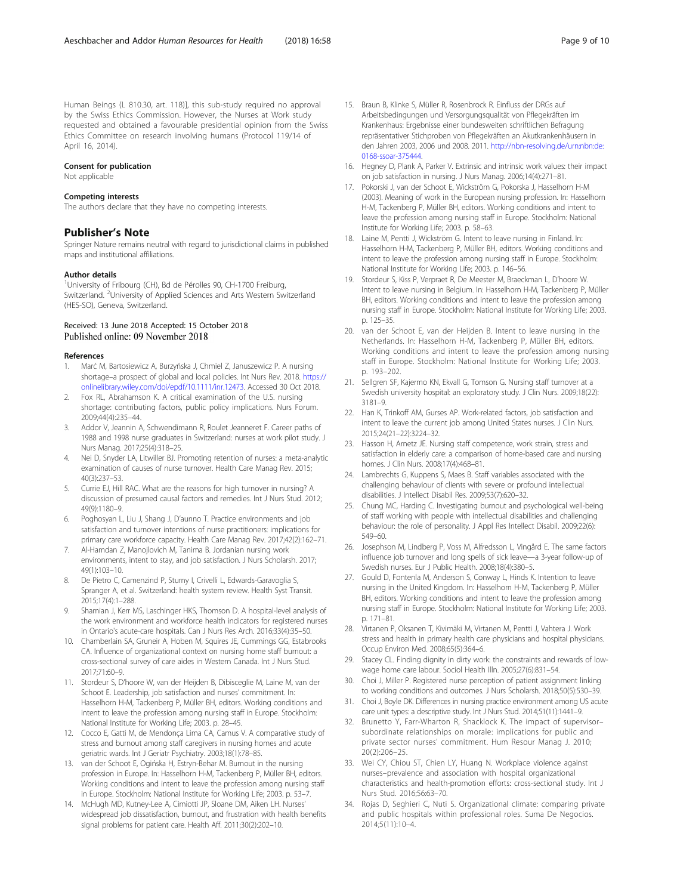<span id="page-8-0"></span>Human Beings (L 810.30, art. 118)], this sub-study required no approval by the Swiss Ethics Commission. However, the Nurses at Work study requested and obtained a favourable presidential opinion from the Swiss Ethics Committee on research involving humans (Protocol 119/14 of April 16, 2014).

#### Consent for publication

Not applicable

#### Competing interests

The authors declare that they have no competing interests.

## Publisher's Note

Springer Nature remains neutral with regard to jurisdictional claims in published maps and institutional affiliations.

#### Author details

<sup>1</sup>University of Fribourg (CH), Bd de Pérolles 90, CH-1700 Freiburg, Switzerland. <sup>2</sup>University of Applied Sciences and Arts Western Switzerland (HES-SO), Geneva, Switzerland.

## Received: 13 June 2018 Accepted: 15 October 2018 Published online: 09 November 2018

#### References

- 1. Marć M, Bartosiewicz A, Burzyńska J, Chmiel Z, Januszewicz P. A nursing shortage–a prospect of global and local policies. Int Nurs Rev. 2018. [https://](https://onlinelibrary.wiley.com/doi/epdf/10.1111/inr.12473) [onlinelibrary.wiley.com/doi/epdf/10.1111/inr.12473.](https://onlinelibrary.wiley.com/doi/epdf/10.1111/inr.12473) Accessed 30 Oct 2018.
- 2. Fox RL, Abrahamson K. A critical examination of the U.S. nursing shortage: contributing factors, public policy implications. Nurs Forum. 2009;44(4):235–44.
- 3. Addor V, Jeannin A, Schwendimann R, Roulet Jeanneret F. Career paths of 1988 and 1998 nurse graduates in Switzerland: nurses at work pilot study. J Nurs Manag. 2017;25(4):318–25.
- 4. Nei D, Snyder LA, Litwiller BJ. Promoting retention of nurses: a meta-analytic examination of causes of nurse turnover. Health Care Manag Rev. 2015; 40(3):237–53.
- 5. Currie EJ, Hill RAC. What are the reasons for high turnover in nursing? A discussion of presumed causal factors and remedies. Int J Nurs Stud. 2012; 49(9):1180–9.
- 6. Poghosyan L, Liu J, Shang J, D'aunno T. Practice environments and job satisfaction and turnover intentions of nurse practitioners: implications for primary care workforce capacity. Health Care Manag Rev. 2017;42(2):162–71.
- 7. Al-Hamdan Z, Manojlovich M, Tanima B. Jordanian nursing work environments, intent to stay, and job satisfaction. J Nurs Scholarsh. 2017; 49(1):103–10.
- 8. De Pietro C, Camenzind P, Sturny I, Crivelli L, Edwards-Garavoglia S, Spranger A, et al. Switzerland: health system review. Health Syst Transit. 2015;17(4):1–288.
- 9. Shamian J, Kerr MS, Laschinger HKS, Thomson D. A hospital-level analysis of the work environment and workforce health indicators for registered nurses in Ontario's acute-care hospitals. Can J Nurs Res Arch. 2016;33(4):35–50.
- 10. Chamberlain SA, Gruneir A, Hoben M, Squires JE, Cummings GG, Estabrooks CA. Influence of organizational context on nursing home staff burnout: a cross-sectional survey of care aides in Western Canada. Int J Nurs Stud. 2017;71:60–9.
- 11. Stordeur S, D'hoore W, van der Heijden B, Dibisceglie M, Laine M, van der Schoot E. Leadership, job satisfaction and nurses' commitment. In: Hasselhorn H-M, Tackenberg P, Müller BH, editors. Working conditions and intent to leave the profession among nursing staff in Europe. Stockholm: National Institute for Working Life; 2003. p. 28–45.
- 12. Cocco E, Gatti M, de Mendonça Lima CA, Camus V. A comparative study of stress and burnout among staff caregivers in nursing homes and acute geriatric wards. Int J Geriatr Psychiatry. 2003;18(1):78–85.
- 13. van der Schoot E, Ogińska H, Estryn-Behar M. Burnout in the nursing profession in Europe. In: Hasselhorn H-M, Tackenberg P, Müller BH, editors. Working conditions and intent to leave the profession among nursing staff in Europe. Stockholm: National Institute for Working Life; 2003. p. 53–7.
- 14. McHugh MD, Kutney-Lee A, Cimiotti JP, Sloane DM, Aiken LH. Nurses' widespread job dissatisfaction, burnout, and frustration with health benefits signal problems for patient care. Health Aff. 2011;30(2):202–10.
- 15. Braun B, Klinke S, Müller R, Rosenbrock R. Einfluss der DRGs auf Arbeitsbedingungen und Versorgungsqualität von Pflegekräften im Krankenhaus: Ergebnisse einer bundesweiten schriftlichen Befragung repräsentativer Stichproben von Pflegekräften an Akutkrankenhäusern in den Jahren 2003, 2006 und 2008. 2011. [http://nbn-resolving.de/urn:nbn:de:](http://nbn-resolving.de/urn:nbn:de:0168-ssoar-375444) [0168-ssoar-375444](http://nbn-resolving.de/urn:nbn:de:0168-ssoar-375444).
- 16. Hegney D, Plank A, Parker V. Extrinsic and intrinsic work values: their impact on job satisfaction in nursing. J Nurs Manag. 2006;14(4):271–81.
- 17. Pokorski J, van der Schoot E, Wickström G, Pokorska J, Hasselhorn H-M (2003). Meaning of work in the European nursing profession. In: Hasselhorn H-M, Tackenberg P, Müller BH, editors. Working conditions and intent to leave the profession among nursing staff in Europe. Stockholm: National Institute for Working Life; 2003. p. 58–63.
- 18. Laine M, Pentti J, Wickström G. Intent to leave nursing in Finland. In: Hasselhorn H-M, Tackenberg P, Müller BH, editors. Working conditions and intent to leave the profession among nursing staff in Europe. Stockholm: National Institute for Working Life; 2003. p. 146–56.
- 19. Stordeur S, Kiss P, Verpraet R, De Meester M, Braeckman L, D'hoore W. Intent to leave nursing in Belgium. In: Hasselhorn H-M, Tackenberg P, Müller BH, editors. Working conditions and intent to leave the profession among nursing staff in Europe. Stockholm: National Institute for Working Life; 2003. p. 125–35.
- 20. van der Schoot E, van der Heijden B. Intent to leave nursing in the Netherlands. In: Hasselhorn H-M, Tackenberg P, Müller BH, editors. Working conditions and intent to leave the profession among nursing staff in Europe. Stockholm: National Institute for Working Life; 2003. p. 193–202.
- 21. Sellgren SF, Kajermo KN, Ekvall G, Tomson G. Nursing staff turnover at a Swedish university hospital: an exploratory study. J Clin Nurs. 2009;18(22): 3181–9.
- 22. Han K, Trinkoff AM, Gurses AP. Work-related factors, job satisfaction and intent to leave the current job among United States nurses. J Clin Nurs. 2015;24(21–22):3224–32.
- 23. Hasson H, Arnetz JE. Nursing staff competence, work strain, stress and satisfaction in elderly care: a comparison of home-based care and nursing homes. J Clin Nurs. 2008;17(4):468–81.
- 24. Lambrechts G, Kuppens S, Maes B. Staff variables associated with the challenging behaviour of clients with severe or profound intellectual disabilities. J Intellect Disabil Res. 2009;53(7):620–32.
- 25. Chung MC, Harding C. Investigating burnout and psychological well-being of staff working with people with intellectual disabilities and challenging behaviour: the role of personality. J Appl Res Intellect Disabil. 2009;22(6): 549–60.
- 26. Josephson M, Lindberg P, Voss M, Alfredsson L, Vingård E. The same factors influence job turnover and long spells of sick leave—a 3-year follow-up of Swedish nurses. Eur J Public Health. 2008;18(4):380–5.
- 27. Gould D, Fontenla M, Anderson S, Conway L, Hinds K. Intention to leave nursing in the United Kingdom. In: Hasselhorn H-M, Tackenberg P, Müller BH, editors. Working conditions and intent to leave the profession among nursing staff in Europe. Stockholm: National Institute for Working Life; 2003. p. 171–81.
- 28. Virtanen P, Oksanen T, Kivimäki M, Virtanen M, Pentti J, Vahtera J. Work stress and health in primary health care physicians and hospital physicians. Occup Environ Med. 2008;65(5):364–6.
- 29. Stacey CL. Finding dignity in dirty work: the constraints and rewards of lowwage home care labour. Sociol Health Illn. 2005;27(6):831–54.
- 30. Choi J, Miller P. Registered nurse perception of patient assignment linking to working conditions and outcomes. J Nurs Scholarsh. 2018;50(5):530–39.
- 31. Choi J, Boyle DK. Differences in nursing practice environment among US acute care unit types: a descriptive study. Int J Nurs Stud. 2014;51(11):1441–9.
- 32. Brunetto Y, Farr-Wharton R, Shacklock K. The impact of supervisor– subordinate relationships on morale: implications for public and private sector nurses' commitment. Hum Resour Manag J. 2010; 20(2):206–25.
- 33. Wei CY, Chiou ST, Chien LY, Huang N. Workplace violence against nurses–prevalence and association with hospital organizational characteristics and health-promotion efforts: cross-sectional study. Int J Nurs Stud. 2016;56:63–70.
- 34. Rojas D, Seghieri C, Nuti S. Organizational climate: comparing private and public hospitals within professional roles. Suma De Negocios. 2014;5(11):10–4.